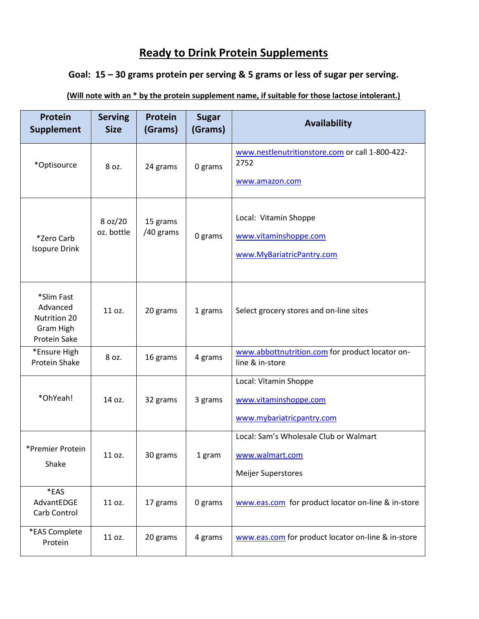## **Ready to Drink Protein Supplements**

## **Goal: 15 – 30 grams protein per serving & 5 grams or less of sugar per serving.**

## **(Will note with an \* by the protein supplement name, if suitable for those lactose intolerant.)**

| <b>Protein</b><br><b>Supplement</b>                                 | <b>Serving</b><br><b>Size</b> | <b>Protein</b><br>(Grams) | <b>Sugar</b><br>(Grams) | <b>Availability</b>                                                                    |
|---------------------------------------------------------------------|-------------------------------|---------------------------|-------------------------|----------------------------------------------------------------------------------------|
| *Optisource                                                         | 8 oz.                         | 24 grams                  | 0 grams                 | www.nestlenutritionstore.com or call 1-800-422-<br>2752<br>www.amazon.com              |
| *Zero Carb<br><b>Isopure Drink</b>                                  | 8 oz/20<br>oz. bottle         | 15 grams<br>/40 grams     | 0 grams                 | Local: Vitamin Shoppe<br>www.vitaminshoppe.com<br>www.MyBariatricPantry.com            |
| *Slim Fast<br>Advanced<br>Nutrition 20<br>Gram High<br>Protein Sake | 11 oz.                        | 20 grams                  | 1 grams                 | Select grocery stores and on-line sites                                                |
| *Ensure High<br><b>Protein Shake</b>                                | 8 oz.                         | 16 grams                  | 4 grams                 | www.abbottnutrition.com for product locator on-<br>line & in-store                     |
| *OhYeah!                                                            | 14 oz.                        | 32 grams                  | 3 grams                 | Local: Vitamin Shoppe<br>www.vitaminshoppe.com<br>www.mybariatricpantry.com            |
| *Premier Protein<br>Shake                                           | 11 oz.                        | 30 grams                  | 1 gram                  | Local: Sam's Wholesale Club or Walmart<br>www.walmart.com<br><b>Meijer Superstores</b> |
| *EAS<br>AdvantEDGE<br>Carb Control                                  | 11 oz.                        | 17 grams                  | 0 grams                 | www.eas.com for product locator on-line & in-store                                     |
| *EAS Complete<br>Protein                                            | 11 oz.                        | 20 grams                  | 4 grams                 | www.eas.com for product locator on-line & in-store                                     |